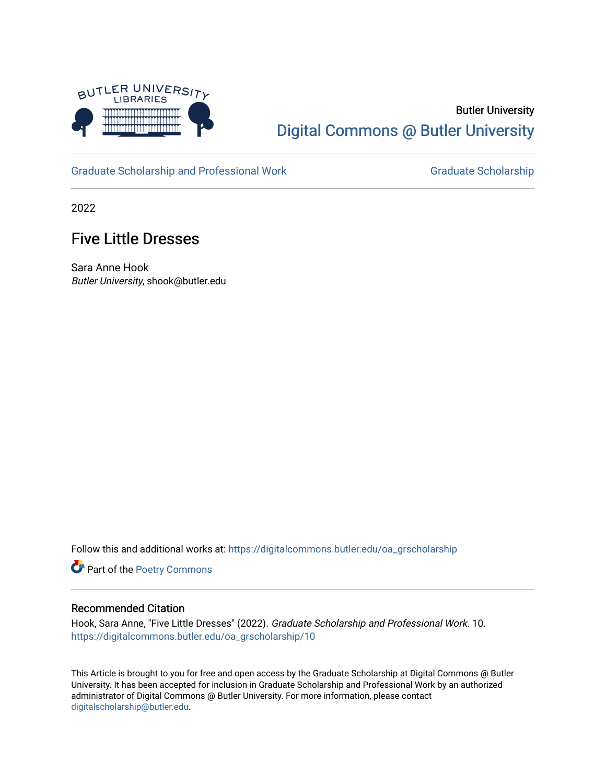

# Butler University [Digital Commons @ Butler University](https://digitalcommons.butler.edu/)

[Graduate Scholarship and Professional Work](https://digitalcommons.butler.edu/oa_grscholarship) [Graduate Scholarship](https://digitalcommons.butler.edu/grscholarship) Graduate Scholarship

2022

## Five Little Dresses

Sara Anne Hook Butler University, shook@butler.edu

Follow this and additional works at: [https://digitalcommons.butler.edu/oa\\_grscholarship](https://digitalcommons.butler.edu/oa_grscholarship?utm_source=digitalcommons.butler.edu%2Foa_grscholarship%2F10&utm_medium=PDF&utm_campaign=PDFCoverPages)

Part of the [Poetry Commons](http://network.bepress.com/hgg/discipline/1153?utm_source=digitalcommons.butler.edu%2Foa_grscholarship%2F10&utm_medium=PDF&utm_campaign=PDFCoverPages) 

#### Recommended Citation

Hook, Sara Anne, "Five Little Dresses" (2022). Graduate Scholarship and Professional Work. 10. [https://digitalcommons.butler.edu/oa\\_grscholarship/10](https://digitalcommons.butler.edu/oa_grscholarship/10?utm_source=digitalcommons.butler.edu%2Foa_grscholarship%2F10&utm_medium=PDF&utm_campaign=PDFCoverPages) 

This Article is brought to you for free and open access by the Graduate Scholarship at Digital Commons @ Butler University. It has been accepted for inclusion in Graduate Scholarship and Professional Work by an authorized administrator of Digital Commons @ Butler University. For more information, please contact [digitalscholarship@butler.edu.](mailto:digitalscholarship@butler.edu)